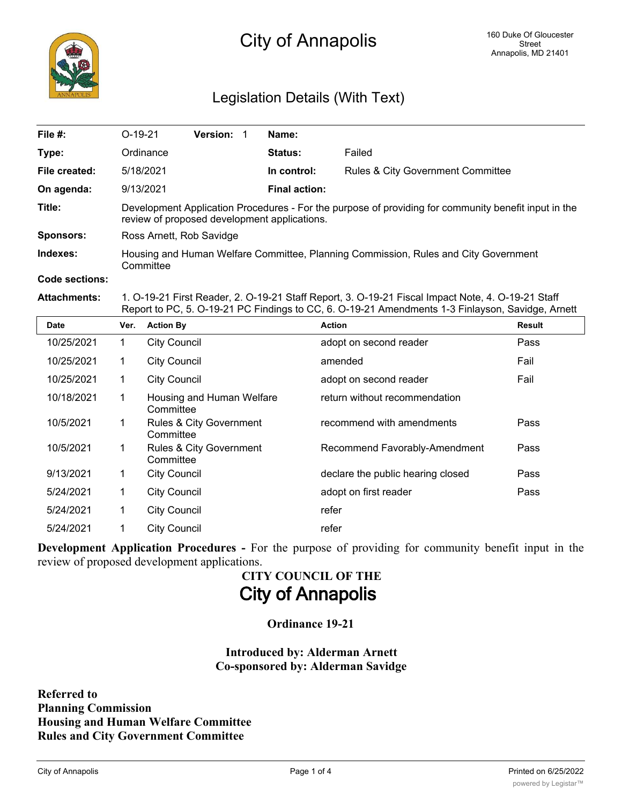

## Legislation Details (With Text)

| File #:          | $O-19-21$                                                                                                                                            | <b>Version:</b> |  | Name:                |                                              |  |
|------------------|------------------------------------------------------------------------------------------------------------------------------------------------------|-----------------|--|----------------------|----------------------------------------------|--|
| Type:            | Ordinance                                                                                                                                            |                 |  | <b>Status:</b>       | Failed                                       |  |
| File created:    | 5/18/2021                                                                                                                                            |                 |  | In control:          | <b>Rules &amp; City Government Committee</b> |  |
| On agenda:       | 9/13/2021                                                                                                                                            |                 |  | <b>Final action:</b> |                                              |  |
| Title:           | Development Application Procedures - For the purpose of providing for community benefit input in the<br>review of proposed development applications. |                 |  |                      |                                              |  |
| <b>Sponsors:</b> | Ross Arnett, Rob Savidge                                                                                                                             |                 |  |                      |                                              |  |
| Indexes:         | Housing and Human Welfare Committee, Planning Commission, Rules and City Government<br>Committee                                                     |                 |  |                      |                                              |  |
| Code sections:   |                                                                                                                                                      |                 |  |                      |                                              |  |

**Attachments:** 1. O-19-21 First Reader, 2. O-19-21 Staff Report, 3. O-19-21 Fiscal Impact Note, 4. O-19-21 Staff Report to PC, 5. O-19-21 PC Findings to CC, 6. O-19-21 Amendments 1-3 Finlayson, Savidge, Arnett

| <b>Date</b> | Ver. | <b>Action By</b>                                | <b>Action</b>                     | <b>Result</b> |
|-------------|------|-------------------------------------------------|-----------------------------------|---------------|
| 10/25/2021  | 1    | <b>City Council</b>                             | adopt on second reader            | Pass          |
| 10/25/2021  | 1    | <b>City Council</b>                             | amended                           | Fail          |
| 10/25/2021  | 1    | <b>City Council</b>                             | adopt on second reader            | Fail          |
| 10/18/2021  | 1    | Housing and Human Welfare<br>Committee          | return without recommendation     |               |
| 10/5/2021   | 1    | <b>Rules &amp; City Government</b><br>Committee | recommend with amendments         | Pass          |
| 10/5/2021   | 1    | Rules & City Government<br>Committee            | Recommend Favorably-Amendment     | Pass          |
| 9/13/2021   | 1    | <b>City Council</b>                             | declare the public hearing closed | Pass          |
| 5/24/2021   | 1    | <b>City Council</b>                             | adopt on first reader             | Pass          |
| 5/24/2021   | 1    | <b>City Council</b>                             | refer                             |               |
| 5/24/2021   | 1    | <b>City Council</b>                             | refer                             |               |

**Development Application Procedures -** For the purpose of providing for community benefit input in the review of proposed development applications.

# **CITY COUNCIL OF THE City of Annapolis**

**Ordinance 19-21**

**Introduced by: Alderman Arnett Co-sponsored by: Alderman Savidge**

**Referred to Planning Commission Housing and Human Welfare Committee Rules and City Government Committee**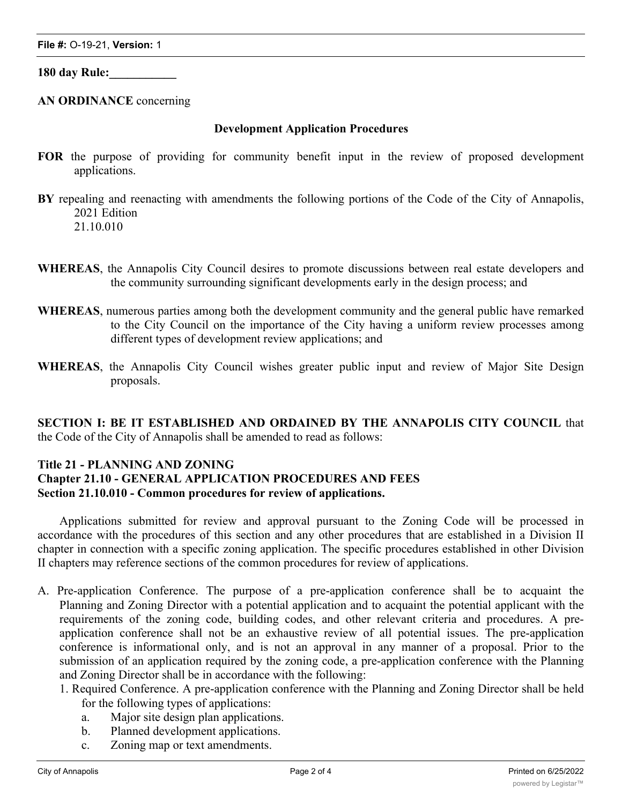**180 day Rule:\_\_\_\_\_\_\_\_\_\_\_**

**AN ORDINANCE** concerning

#### **Development Application Procedures**

- **FOR** the purpose of providing for community benefit input in the review of proposed development applications.
- **BY** repealing and reenacting with amendments the following portions of the Code of the City of Annapolis, 2021 Edition 21.10.010
- **WHEREAS**, the Annapolis City Council desires to promote discussions between real estate developers and the community surrounding significant developments early in the design process; and
- **WHEREAS**, numerous parties among both the development community and the general public have remarked to the City Council on the importance of the City having a uniform review processes among different types of development review applications; and
- **WHEREAS**, the Annapolis City Council wishes greater public input and review of Major Site Design proposals.

**SECTION I: BE IT ESTABLISHED AND ORDAINED BY THE ANNAPOLIS CITY COUNCIL** that the Code of the City of Annapolis shall be amended to read as follows:

### **Title 21 - PLANNING AND ZONING**

### **Chapter 21.10 - GENERAL APPLICATION PROCEDURES AND FEES Section 21.10.010 - Common procedures for review of applications.**

Applications submitted for review and approval pursuant to the Zoning Code will be processed in accordance with the procedures of this section and any other procedures that are established in a Division II chapter in connection with a specific zoning application. The specific procedures established in other Division II chapters may reference sections of the common procedures for review of applications.

- A. Pre-application Conference. The purpose of a pre-application conference shall be to acquaint the Planning and Zoning Director with a potential application and to acquaint the potential applicant with the requirements of the zoning code, building codes, and other relevant criteria and procedures. A preapplication conference shall not be an exhaustive review of all potential issues. The pre-application conference is informational only, and is not an approval in any manner of a proposal. Prior to the submission of an application required by the zoning code, a pre-application conference with the Planning and Zoning Director shall be in accordance with the following:
	- 1. Required Conference. A pre-application conference with the Planning and Zoning Director shall be held for the following types of applications:
		- a. Major site design plan applications.
		- b. Planned development applications.
		- c. Zoning map or text amendments.

2. Optional Conference. For all other applications, the Planning and Zoning Director may hold a pre-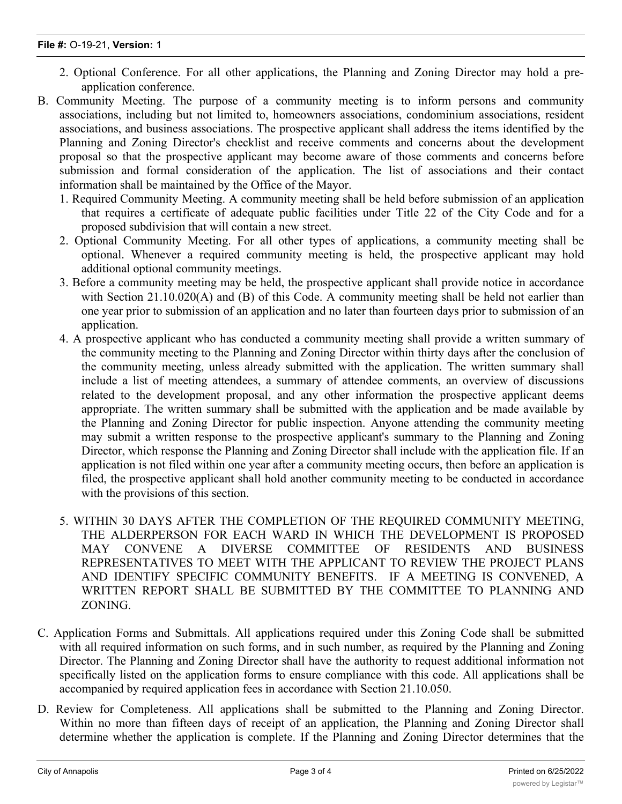- 2. Optional Conference. For all other applications, the Planning and Zoning Director may hold a preapplication conference.
- B. Community Meeting. The purpose of a community meeting is to inform persons and community associations, including but not limited to, homeowners associations, condominium associations, resident associations, and business associations. The prospective applicant shall address the items identified by the Planning and Zoning Director's checklist and receive comments and concerns about the development proposal so that the prospective applicant may become aware of those comments and concerns before submission and formal consideration of the application. The list of associations and their contact information shall be maintained by the Office of the Mayor.
	- 1. Required Community Meeting. A community meeting shall be held before submission of an application that requires a certificate of adequate public facilities under Title 22 of the City Code and for a proposed subdivision that will contain a new street.
	- 2. Optional Community Meeting. For all other types of applications, a community meeting shall be optional. Whenever a required community meeting is held, the prospective applicant may hold additional optional community meetings.
	- 3. Before a community meeting may be held, the prospective applicant shall provide notice in accordance with Section 21.10.020(A) and (B) of this Code. A community meeting shall be held not earlier than one year prior to submission of an application and no later than fourteen days prior to submission of an application.
	- 4. A prospective applicant who has conducted a community meeting shall provide a written summary of the community meeting to the Planning and Zoning Director within thirty days after the conclusion of the community meeting, unless already submitted with the application. The written summary shall include a list of meeting attendees, a summary of attendee comments, an overview of discussions related to the development proposal, and any other information the prospective applicant deems appropriate. The written summary shall be submitted with the application and be made available by the Planning and Zoning Director for public inspection. Anyone attending the community meeting may submit a written response to the prospective applicant's summary to the Planning and Zoning Director, which response the Planning and Zoning Director shall include with the application file. If an application is not filed within one year after a community meeting occurs, then before an application is filed, the prospective applicant shall hold another community meeting to be conducted in accordance with the provisions of this section.
	- 5. WITHIN 30 DAYS AFTER THE COMPLETION OF THE REQUIRED COMMUNITY MEETING, THE ALDERPERSON FOR EACH WARD IN WHICH THE DEVELOPMENT IS PROPOSED MAY CONVENE A DIVERSE COMMITTEE OF RESIDENTS AND BUSINESS REPRESENTATIVES TO MEET WITH THE APPLICANT TO REVIEW THE PROJECT PLANS AND IDENTIFY SPECIFIC COMMUNITY BENEFITS. IF A MEETING IS CONVENED, A WRITTEN REPORT SHALL BE SUBMITTED BY THE COMMITTEE TO PLANNING AND ZONING.
- C. Application Forms and Submittals. All applications required under this Zoning Code shall be submitted with all required information on such forms, and in such number, as required by the Planning and Zoning Director. The Planning and Zoning Director shall have the authority to request additional information not specifically listed on the application forms to ensure compliance with this code. All applications shall be accompanied by required application fees in accordance with Section 21.10.050.
- D. Review for Completeness. All applications shall be submitted to the Planning and Zoning Director. Within no more than fifteen days of receipt of an application, the Planning and Zoning Director shall determine whether the application is complete. If the Planning and Zoning Director determines that the